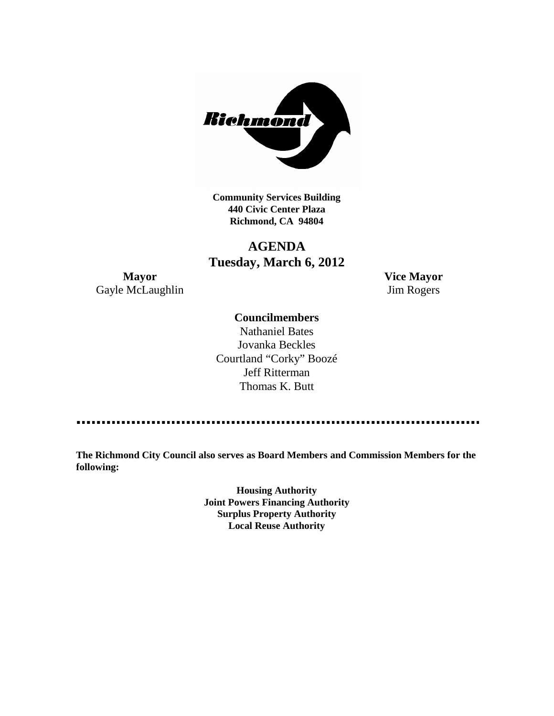

**Community Services Building 440 Civic Center Plaza Richmond, CA 94804**

## **AGENDA Tuesday, March 6, 2012**

**Mayor Vice Mayor** Gayle McLaughlin Jim Rogers

#### **Councilmembers**

Nathaniel Bates Jovanka Beckles Courtland "Corky" Boozé Jeff Ritterman Thomas K. Butt

**The Richmond City Council also serves as Board Members and Commission Members for the following:**

> **Housing Authority Joint Powers Financing Authority Surplus Property Authority Local Reuse Authority**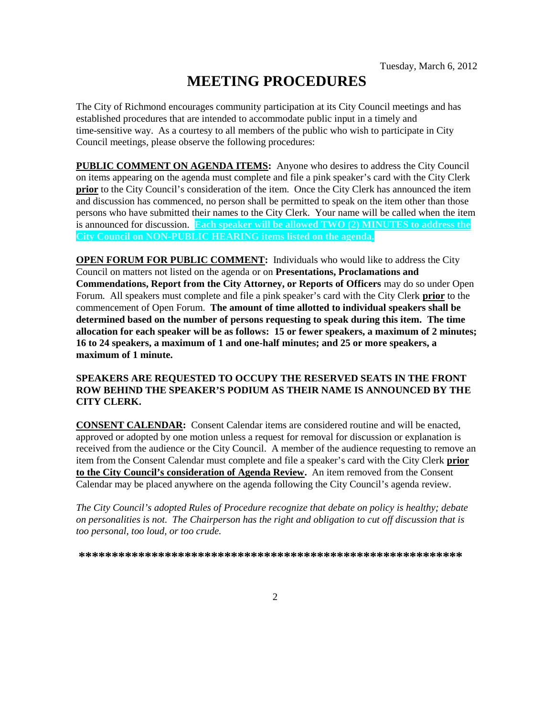# **MEETING PROCEDURES**

The City of Richmond encourages community participation at its City Council meetings and has established procedures that are intended to accommodate public input in a timely and time-sensitive way. As a courtesy to all members of the public who wish to participate in City Council meetings, please observe the following procedures:

**PUBLIC COMMENT ON AGENDA ITEMS:** Anyone who desires to address the City Council on items appearing on the agenda must complete and file a pink speaker's card with the City Clerk **prior** to the City Council's consideration of the item. Once the City Clerk has announced the item and discussion has commenced, no person shall be permitted to speak on the item other than those persons who have submitted their names to the City Clerk. Your name will be called when the item is announced for discussion. **Each speaker will be allowed TWO (2) MINUTES to address the City Council on NON-PUBLIC HEARING items listed on the agenda.**

**OPEN FORUM FOR PUBLIC COMMENT:** Individuals who would like to address the City Council on matters not listed on the agenda or on **Presentations, Proclamations and Commendations, Report from the City Attorney, or Reports of Officers** may do so under Open Forum. All speakers must complete and file a pink speaker's card with the City Clerk **prior** to the commencement of Open Forum. **The amount of time allotted to individual speakers shall be determined based on the number of persons requesting to speak during this item. The time allocation for each speaker will be as follows: 15 or fewer speakers, a maximum of 2 minutes; 16 to 24 speakers, a maximum of 1 and one-half minutes; and 25 or more speakers, a maximum of 1 minute.**

#### **SPEAKERS ARE REQUESTED TO OCCUPY THE RESERVED SEATS IN THE FRONT ROW BEHIND THE SPEAKER'S PODIUM AS THEIR NAME IS ANNOUNCED BY THE CITY CLERK.**

**CONSENT CALENDAR:** Consent Calendar items are considered routine and will be enacted, approved or adopted by one motion unless a request for removal for discussion or explanation is received from the audience or the City Council. A member of the audience requesting to remove an item from the Consent Calendar must complete and file a speaker's card with the City Clerk **prior to the City Council's consideration of Agenda Review.** An item removed from the Consent Calendar may be placed anywhere on the agenda following the City Council's agenda review.

*The City Council's adopted Rules of Procedure recognize that debate on policy is healthy; debate on personalities is not. The Chairperson has the right and obligation to cut off discussion that is too personal, too loud, or too crude.*

**\*\*\*\*\*\*\*\*\*\*\*\*\*\*\*\*\*\*\*\*\*\*\*\*\*\*\*\*\*\*\*\*\*\*\*\*\*\*\*\*\*\*\*\*\*\*\*\*\*\*\*\*\*\*\*\*\*\***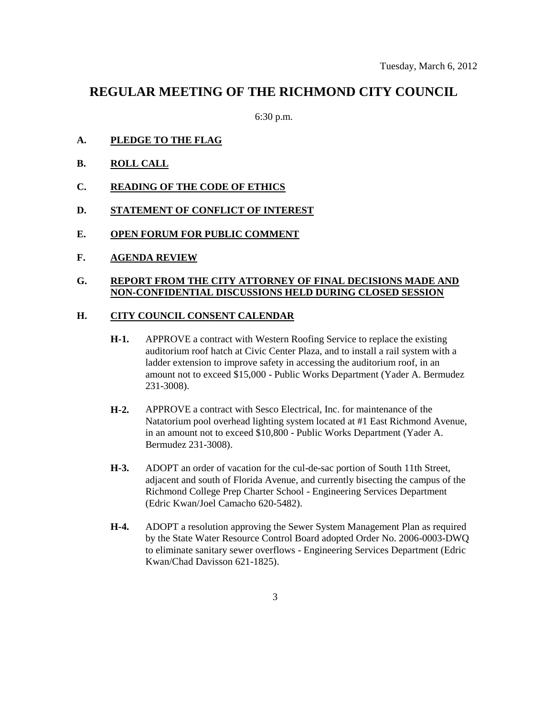### **REGULAR MEETING OF THE RICHMOND CITY COUNCIL**

6:30 p.m.

- **A. PLEDGE TO THE FLAG**
- **B. ROLL CALL**
- **C. READING OF THE CODE OF ETHICS**
- **D. STATEMENT OF CONFLICT OF INTEREST**
- **E. OPEN FORUM FOR PUBLIC COMMENT**
- **F. AGENDA REVIEW**

#### **G. REPORT FROM THE CITY ATTORNEY OF FINAL DECISIONS MADE AND NON-CONFIDENTIAL DISCUSSIONS HELD DURING CLOSED SESSION**

#### **H. CITY COUNCIL CONSENT CALENDAR**

- **H-1.** APPROVE a contract with Western Roofing Service to replace the existing auditorium roof hatch at Civic Center Plaza, and to install a rail system with a ladder extension to improve safety in accessing the auditorium roof, in an amount not to exceed \$15,000 - Public Works Department (Yader A. Bermudez 231-3008).
- **H-2.** APPROVE a contract with Sesco Electrical, Inc. for maintenance of the Natatorium pool overhead lighting system located at #1 East Richmond Avenue, in an amount not to exceed \$10,800 - Public Works Department (Yader A. Bermudez 231-3008).
- **H-3.** ADOPT an order of vacation for the cul-de-sac portion of South 11th Street, adjacent and south of Florida Avenue, and currently bisecting the campus of the Richmond College Prep Charter School - Engineering Services Department (Edric Kwan/Joel Camacho 620-5482).
- **H-4.** ADOPT a resolution approving the Sewer System Management Plan as required by the State Water Resource Control Board adopted Order No. 2006-0003-DWQ to eliminate sanitary sewer overflows - Engineering Services Department (Edric Kwan/Chad Davisson 621-1825).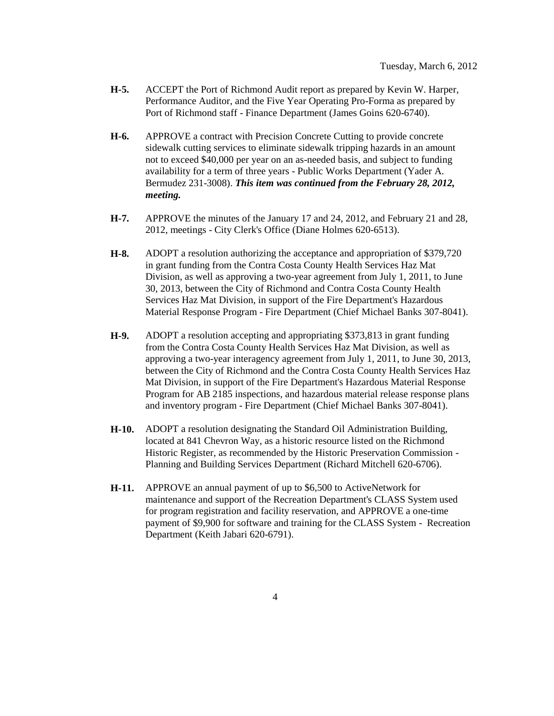- **H-5.** ACCEPT the Port of Richmond Audit report as prepared by Kevin W. Harper, Performance Auditor, and the Five Year Operating Pro-Forma as prepared by Port of Richmond staff - Finance Department (James Goins 620-6740).
- **H-6.** APPROVE a contract with Precision Concrete Cutting to provide concrete sidewalk cutting services to eliminate sidewalk tripping hazards in an amount not to exceed \$40,000 per year on an as-needed basis, and subject to funding availability for a term of three years - Public Works Department (Yader A. Bermudez 231-3008). *This item was continued from the February 28, 2012, meeting.*
- **H-7.** APPROVE the minutes of the January 17 and 24, 2012, and February 21 and 28, 2012, meetings - City Clerk's Office (Diane Holmes 620-6513).
- **H-8.** ADOPT a resolution authorizing the acceptance and appropriation of \$379,720 in grant funding from the Contra Costa County Health Services Haz Mat Division, as well as approving a two-year agreement from July 1, 2011, to June 30, 2013, between the City of Richmond and Contra Costa County Health Services Haz Mat Division, in support of the Fire Department's Hazardous Material Response Program - Fire Department (Chief Michael Banks 307-8041).
- **H-9.** ADOPT a resolution accepting and appropriating \$373,813 in grant funding from the Contra Costa County Health Services Haz Mat Division, as well as approving a two-year interagency agreement from July 1, 2011, to June 30, 2013, between the City of Richmond and the Contra Costa County Health Services Haz Mat Division, in support of the Fire Department's Hazardous Material Response Program for AB 2185 inspections, and hazardous material release response plans and inventory program - Fire Department (Chief Michael Banks 307-8041).
- **H-10.** ADOPT a resolution designating the Standard Oil Administration Building, located at 841 Chevron Way, as a historic resource listed on the Richmond Historic Register, as recommended by the Historic Preservation Commission - Planning and Building Services Department (Richard Mitchell 620-6706).
- **H-11.** APPROVE an annual payment of up to \$6,500 to ActiveNetwork for maintenance and support of the Recreation Department's CLASS System used for program registration and facility reservation, and APPROVE a one-time payment of \$9,900 for software and training for the CLASS System - Recreation Department (Keith Jabari 620-6791).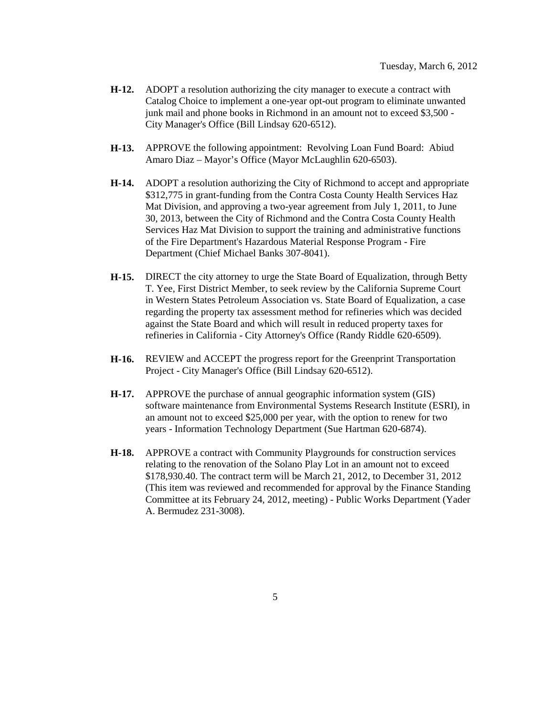- **H-12.** ADOPT a resolution authorizing the city manager to execute a contract with Catalog Choice to implement a one-year opt-out program to eliminate unwanted junk mail and phone books in Richmond in an amount not to exceed \$3,500 -City Manager's Office (Bill Lindsay 620-6512).
- **H-13.** APPROVE the following appointment: Revolving Loan Fund Board: Abiud Amaro Diaz – Mayor's Office (Mayor McLaughlin 620-6503).
- **H-14.** ADOPT a resolution authorizing the City of Richmond to accept and appropriate \$312,775 in grant-funding from the Contra Costa County Health Services Haz Mat Division, and approving a two-year agreement from July 1, 2011, to June 30, 2013, between the City of Richmond and the Contra Costa County Health Services Haz Mat Division to support the training and administrative functions of the Fire Department's Hazardous Material Response Program - Fire Department (Chief Michael Banks 307-8041).
- **H-15.** DIRECT the city attorney to urge the State Board of Equalization, through Betty T. Yee, First District Member, to seek review by the California Supreme Court in Western States Petroleum Association vs. State Board of Equalization, a case regarding the property tax assessment method for refineries which was decided against the State Board and which will result in reduced property taxes for refineries in California - City Attorney's Office (Randy Riddle 620-6509).
- **H-16.** REVIEW and ACCEPT the progress report for the Greenprint Transportation Project - City Manager's Office (Bill Lindsay 620-6512).
- **H-17.** APPROVE the purchase of annual geographic information system (GIS) software maintenance from Environmental Systems Research Institute (ESRI), in an amount not to exceed \$25,000 per year, with the option to renew for two years - Information Technology Department (Sue Hartman 620-6874).
- **H-18.** APPROVE a contract with Community Playgrounds for construction services relating to the renovation of the Solano Play Lot in an amount not to exceed \$178,930.40. The contract term will be March 21, 2012, to December 31, 2012 (This item was reviewed and recommended for approval by the Finance Standing Committee at its February 24, 2012, meeting) - Public Works Department (Yader A. Bermudez 231-3008).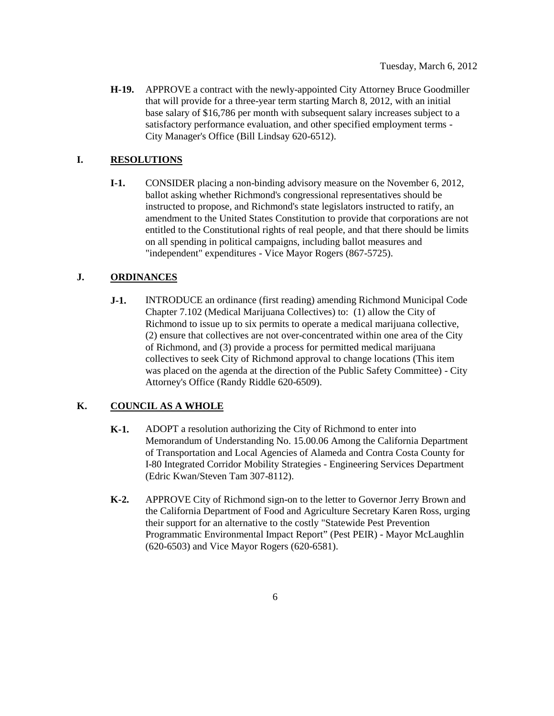**H-19.** APPROVE a contract with the newly-appointed City Attorney Bruce Goodmiller that will provide for a three-year term starting March 8, 2012, with an initial base salary of \$16,786 per month with subsequent salary increases subject to a satisfactory performance evaluation, and other specified employment terms - City Manager's Office (Bill Lindsay 620-6512).

#### **I. RESOLUTIONS**

**I-1.** CONSIDER placing a non-binding advisory measure on the November 6, 2012, ballot asking whether Richmond's congressional representatives should be instructed to propose, and Richmond's state legislators instructed to ratify, an amendment to the United States Constitution to provide that corporations are not entitled to the Constitutional rights of real people, and that there should be limits on all spending in political campaigns, including ballot measures and "independent" expenditures - Vice Mayor Rogers (867-5725).

#### **J. ORDINANCES**

**J-1.** INTRODUCE an ordinance (first reading) amending Richmond Municipal Code Chapter 7.102 (Medical Marijuana Collectives) to: (1) allow the City of Richmond to issue up to six permits to operate a medical marijuana collective, (2) ensure that collectives are not over-concentrated within one area of the City of Richmond, and (3) provide a process for permitted medical marijuana collectives to seek City of Richmond approval to change locations (This item was placed on the agenda at the direction of the Public Safety Committee) - City Attorney's Office (Randy Riddle 620-6509).

#### **K. COUNCIL AS A WHOLE**

- **K-1.** ADOPT a resolution authorizing the City of Richmond to enter into Memorandum of Understanding No. 15.00.06 Among the California Department of Transportation and Local Agencies of Alameda and Contra Costa County for I-80 Integrated Corridor Mobility Strategies - Engineering Services Department (Edric Kwan/Steven Tam 307-8112).
- **K-2.** APPROVE City of Richmond sign-on to the letter to Governor Jerry Brown and the California Department of Food and Agriculture Secretary Karen Ross, urging their support for an alternative to the costly "Statewide Pest Prevention Programmatic Environmental Impact Report" (Pest PEIR) - Mayor McLaughlin (620-6503) and Vice Mayor Rogers (620-6581).